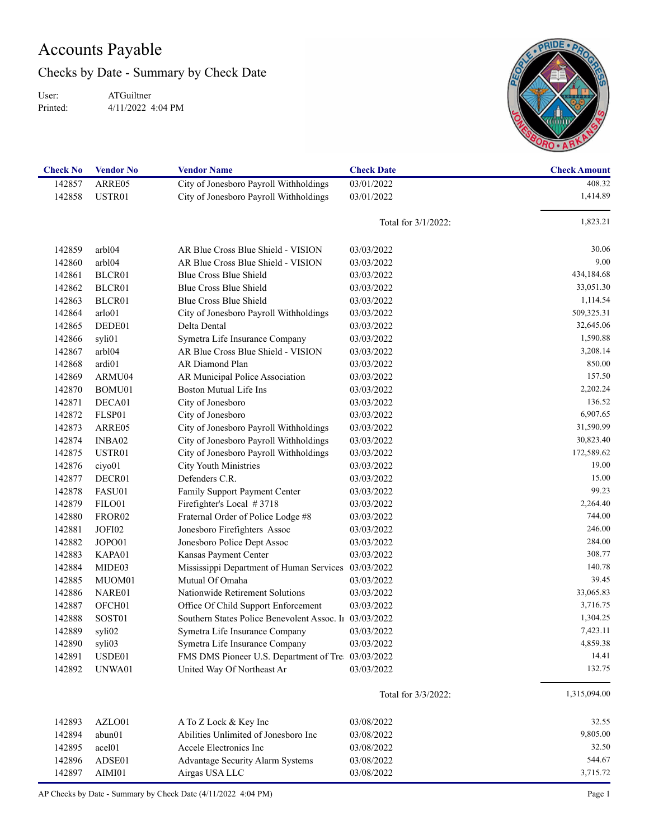## Accounts Payable

Checks by Date - Summary by Check Date

User: Printed:

ATGuiltner 4/11/2022 4:04 PM



| <b>Check No</b> | <b>Vendor No</b>   | <b>Vendor Name</b>                                               | <b>Check Date</b>      | <b>Check Amount</b> |
|-----------------|--------------------|------------------------------------------------------------------|------------------------|---------------------|
| 142857          | ARRE05             | City of Jonesboro Payroll Withholdings                           | 03/01/2022             | 408.32              |
| 142858          | USTR01             | City of Jonesboro Payroll Withholdings                           | 03/01/2022             | 1,414.89            |
|                 |                    |                                                                  | Total for $3/1/2022$ : | 1,823.21            |
| 142859          | arbl04             | AR Blue Cross Blue Shield - VISION                               | 03/03/2022             | 30.06               |
| 142860          | arbl04             | AR Blue Cross Blue Shield - VISION                               | 03/03/2022             | 9.00                |
| 142861          | BLCR01             | Blue Cross Blue Shield                                           | 03/03/2022             | 434,184.68          |
| 142862          | BLCR01             | Blue Cross Blue Shield                                           | 03/03/2022             | 33,051.30           |
| 142863          | BLCR01             | Blue Cross Blue Shield                                           | 03/03/2022             | 1,114.54            |
| 142864          | arlo01             | City of Jonesboro Payroll Withholdings                           | 03/03/2022             | 509,325.31          |
| 142865          | DEDE01             | Delta Dental                                                     | 03/03/2022             | 32,645.06           |
| 142866          | syli01             | Symetra Life Insurance Company                                   | 03/03/2022             | 1,590.88            |
| 142867          | arbl04             | AR Blue Cross Blue Shield - VISION                               | 03/03/2022             | 3,208.14            |
| 142868          | ardi01             | AR Diamond Plan                                                  | 03/03/2022             | 850.00              |
| 142869          | ARMU04             |                                                                  | 03/03/2022             | 157.50              |
| 142870          |                    | AR Municipal Police Association<br><b>Boston Mutual Life Ins</b> |                        | 2,202.24            |
|                 | BOMU01             |                                                                  | 03/03/2022             | 136.52              |
| 142871          | DECA01             | City of Jonesboro                                                | 03/03/2022             | 6,907.65            |
| 142872          | FLSP01             | City of Jonesboro                                                | 03/03/2022             |                     |
| 142873          | ARRE05             | City of Jonesboro Payroll Withholdings                           | 03/03/2022             | 31,590.99           |
| 142874          | INBA02             | City of Jonesboro Payroll Withholdings                           | 03/03/2022             | 30,823.40           |
| 142875          | USTR01             | City of Jonesboro Payroll Withholdings                           | 03/03/2022             | 172,589.62          |
| 142876          | ciyo01             | <b>City Youth Ministries</b>                                     | 03/03/2022             | 19.00               |
| 142877          | DECR01             | Defenders C.R.                                                   | 03/03/2022             | 15.00               |
| 142878          | FASU01             | Family Support Payment Center                                    | 03/03/2022             | 99.23               |
| 142879          | FILO01             | Firefighter's Local #3718                                        | 03/03/2022             | 2,264.40            |
| 142880          | FROR <sub>02</sub> | Fraternal Order of Police Lodge #8                               | 03/03/2022             | 744.00              |
| 142881          | JOFI02             | Jonesboro Firefighters Assoc                                     | 03/03/2022             | 246.00              |
| 142882          | JOPO01             | Jonesboro Police Dept Assoc                                      | 03/03/2022             | 284.00              |
| 142883          | KAPA01             | Kansas Payment Center                                            | 03/03/2022             | 308.77              |
| 142884          | MIDE03             | Mississippi Department of Human Services                         | 03/03/2022             | 140.78              |
| 142885          | MUOM01             | Mutual Of Omaha                                                  | 03/03/2022             | 39.45               |
| 142886          | NARE01             | Nationwide Retirement Solutions                                  | 03/03/2022             | 33,065.83           |
| 142887          | OFCH01             | Office Of Child Support Enforcement                              | 03/03/2022             | 3,716.75            |
| 142888          | SOST01             | Southern States Police Benevolent Assoc. In                      | 03/03/2022             | 1,304.25            |
| 142889          | syli02             | Symetra Life Insurance Company                                   | 03/03/2022             | 7,423.11            |
| 142890          | syli03             | Symetra Life Insurance Company                                   | 03/03/2022             | 4,859.38            |
| 142891          | USDE01             | FMS DMS Pioneer U.S. Department of Tre 03/03/2022                |                        | 14.41               |
| 142892          | UNWA01             | United Way Of Northeast Ar                                       | 03/03/2022             | 132.75              |
|                 |                    |                                                                  | Total for 3/3/2022:    | 1,315,094.00        |
| 142893          | AZLO01             | A To Z Lock & Key Inc                                            | 03/08/2022             | 32.55               |
| 142894          | abun01             | Abilities Unlimited of Jonesboro Inc                             | 03/08/2022             | 9,805.00            |
| 142895          | acel <sub>01</sub> | Accele Electronics Inc                                           | 03/08/2022             | 32.50               |
| 142896          | ADSE01             | Advantage Security Alarm Systems                                 | 03/08/2022             | 544.67              |
| 142897          | AIMI01             | Airgas USA LLC                                                   | 03/08/2022             | 3,715.72            |
|                 |                    |                                                                  |                        |                     |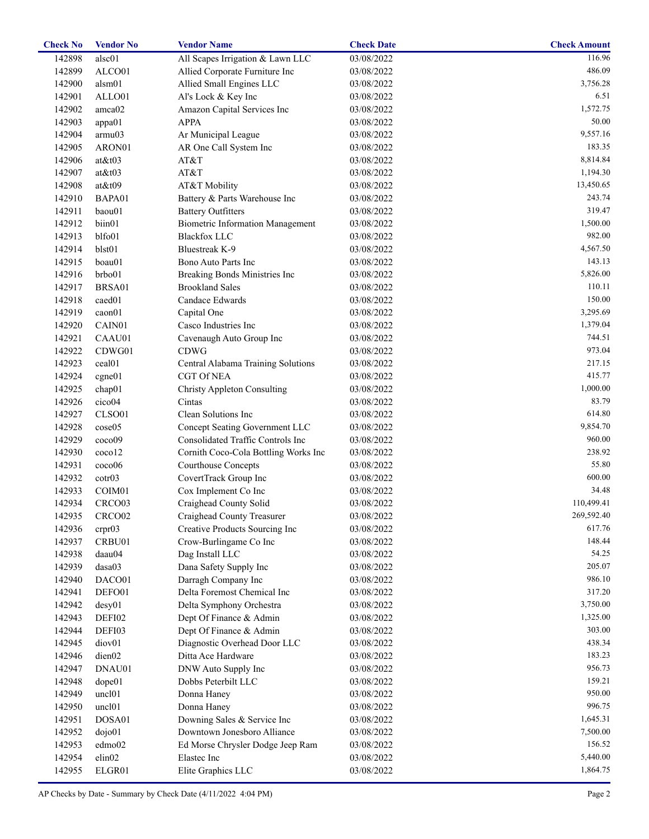| <b>Check No</b> | <b>Vendor No</b>     | <b>Vendor Name</b>                      | <b>Check Date</b>       | <b>Check Amount</b> |
|-----------------|----------------------|-----------------------------------------|-------------------------|---------------------|
| 142898          | alsc01               | All Scapes Irrigation & Lawn LLC        | $\overline{03}/08/2022$ | 116.96              |
| 142899          | ALCO01               | Allied Corporate Furniture Inc          | 03/08/2022              | 486.09              |
| 142900          | alsm01               | Allied Small Engines LLC                | 03/08/2022              | 3,756.28            |
| 142901          | ALLO01               | Al's Lock & Key Inc                     | 03/08/2022              | 6.51                |
| 142902          | amca02               | Amazon Capital Services Inc             | 03/08/2022              | 1,572.75            |
| 142903          | appa01               | <b>APPA</b>                             | 03/08/2022              | 50.00               |
| 142904          | armu03               | Ar Municipal League                     | 03/08/2022              | 9,557.16            |
| 142905          | ARON01               | AR One Call System Inc                  | 03/08/2022              | 183.35              |
| 142906          | $at \& t03$          | AT&T                                    | 03/08/2022              | 8,814.84            |
| 142907          | $at \& t03$          | AT&T                                    | 03/08/2022              | 1,194.30            |
| 142908          | $at \& t09$          | AT&T Mobility                           | 03/08/2022              | 13,450.65           |
| 142910          | BAPA01               | Battery & Parts Warehouse Inc           | 03/08/2022              | 243.74              |
| 142911          | baou01               | <b>Battery Outfitters</b>               | 03/08/2022              | 319.47              |
| 142912          | biin01               | <b>Biometric Information Management</b> | 03/08/2022              | 1,500.00            |
| 142913          | blfo01               | <b>Blackfox LLC</b>                     | 03/08/2022              | 982.00              |
| 142914          | blst01               | <b>Bluestreak K-9</b>                   | 03/08/2022              | 4,567.50            |
| 142915          | boau01               | Bono Auto Parts Inc                     | 03/08/2022              | 143.13              |
| 142916          | brbo01               | Breaking Bonds Ministries Inc           | 03/08/2022              | 5,826.00            |
|                 |                      | <b>Brookland Sales</b>                  |                         | 110.11              |
| 142917          | BRSA01               |                                         | 03/08/2022              | 150.00              |
| 142918          | caed01               | Candace Edwards                         | 03/08/2022              |                     |
| 142919          | caon01               | Capital One                             | 03/08/2022              | 3,295.69            |
| 142920          | CAIN01               | Casco Industries Inc                    | 03/08/2022              | 1,379.04            |
| 142921          | CAAU01               | Cavenaugh Auto Group Inc                | 03/08/2022              | 744.51              |
| 142922          | CDWG01               | <b>CDWG</b>                             | 03/08/2022              | 973.04              |
| 142923          | ceal <sub>01</sub>   | Central Alabama Training Solutions      | 03/08/2022              | 217.15              |
| 142924          | cgne01               | <b>CGT Of NEA</b>                       | 03/08/2022              | 415.77              |
| 142925          | chap01               | <b>Christy Appleton Consulting</b>      | 03/08/2022              | 1,000.00            |
| 142926          | cico04               | Cintas                                  | 03/08/2022              | 83.79               |
| 142927          | CLSO01               | Clean Solutions Inc                     | 03/08/2022              | 614.80              |
| 142928          | cose05               | Concept Seating Government LLC          | 03/08/2022              | 9,854.70            |
| 142929          | coco09               | Consolidated Traffic Controls Inc       | 03/08/2022              | 960.00              |
| 142930          | ccoc <sub>0</sub> 12 | Cornith Coco-Cola Bottling Works Inc    | 03/08/2022              | 238.92              |
| 142931          | cc <sub>000</sub>    | Courthouse Concepts                     | 03/08/2022              | 55.80               |
| 142932          | $\cot 03$            | CovertTrack Group Inc                   | 03/08/2022              | 600.00              |
| 142933          | COIM01               | Cox Implement Co Inc                    | 03/08/2022              | 34.48               |
| 142934          | CRCO03               | Craighead County Solid                  | 03/08/2022              | 110,499.41          |
| 142935          | CRCO02               | Craighead County Treasurer              | 03/08/2022              | 269,592.40          |
| 142936          | crpr03               | Creative Products Sourcing Inc          | 03/08/2022              | 617.76              |
| 142937          | CRBU01               | Crow-Burlingame Co Inc                  | 03/08/2022              | 148.44              |
| 142938          | daau04               | Dag Install LLC                         | 03/08/2022              | 54.25               |
| 142939          | dasa03               | Dana Safety Supply Inc                  | 03/08/2022              | 205.07              |
| 142940          | DACO01               | Darragh Company Inc                     | 03/08/2022              | 986.10              |
| 142941          | DEFO01               | Delta Foremost Chemical Inc             | 03/08/2022              | 317.20              |
| 142942          | desy01               | Delta Symphony Orchestra                | 03/08/2022              | 3,750.00            |
| 142943          | DEFI02               | Dept Of Finance & Admin                 | 03/08/2022              | 1,325.00            |
| 142944          | DEFI03               | Dept Of Finance & Admin                 | 03/08/2022              | 303.00              |
| 142945          | diov <sub>01</sub>   | Diagnostic Overhead Door LLC            | 03/08/2022              | 438.34              |
| 142946          | dien02               | Ditta Ace Hardware                      | 03/08/2022              | 183.23              |
| 142947          | DNAU01               | DNW Auto Supply Inc                     | 03/08/2022              | 956.73              |
| 142948          |                      | Dobbs Peterbilt LLC                     | 03/08/2022              | 159.21              |
|                 | dope01               |                                         |                         | 950.00              |
| 142949          | uncl <sub>01</sub>   | Donna Haney                             | 03/08/2022              |                     |
| 142950          | uncl <sub>01</sub>   | Donna Haney                             | 03/08/2022              | 996.75              |
| 142951          | DOSA01               | Downing Sales & Service Inc             | 03/08/2022              | 1,645.31            |
| 142952          | $d$ ojo $01$         | Downtown Jonesboro Alliance             | 03/08/2022              | 7,500.00            |
| 142953          | edmo02               | Ed Morse Chrysler Dodge Jeep Ram        | 03/08/2022              | 156.52              |
| 142954          | elin02               | Elastec Inc                             | 03/08/2022              | 5,440.00            |
| 142955          | ELGR01               | Elite Graphics LLC                      | 03/08/2022              | 1,864.75            |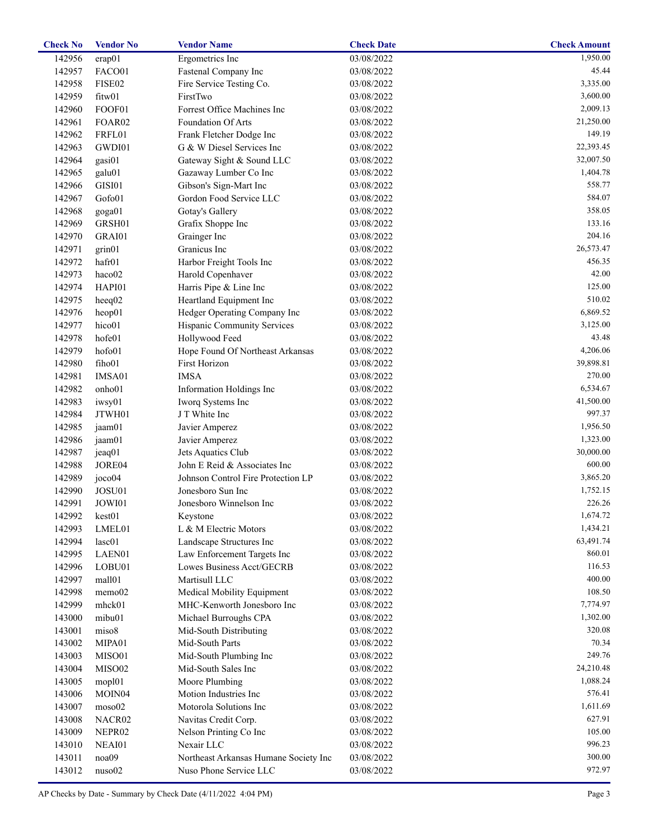| <b>Check No</b> | <b>Vendor No</b>   | <b>Vendor Name</b>                    | <b>Check Date</b> | <b>Check Amount</b>   |
|-----------------|--------------------|---------------------------------------|-------------------|-----------------------|
| 142956          | erap01             | Ergometrics Inc                       | 03/08/2022        | $\overline{1,950.00}$ |
| 142957          | FACO01             | Fastenal Company Inc                  | 03/08/2022        | 45.44                 |
| 142958          | FISE02             | Fire Service Testing Co.              | 03/08/2022        | 3,335.00              |
| 142959          | fitw01             | FirstTwo                              | 03/08/2022        | 3,600.00              |
| 142960          | FOOF01             | Forrest Office Machines Inc           | 03/08/2022        | 2,009.13              |
| 142961          | FOAR02             | Foundation Of Arts                    | 03/08/2022        | 21,250.00             |
| 142962          | FRFL01             | Frank Fletcher Dodge Inc              | 03/08/2022        | 149.19                |
| 142963          | GWDI01             | G & W Diesel Services Inc             | 03/08/2022        | 22,393.45             |
| 142964          | gasi01             | Gateway Sight & Sound LLC             | 03/08/2022        | 32,007.50             |
| 142965          | galu01             | Gazaway Lumber Co Inc                 | 03/08/2022        | 1,404.78              |
| 142966          | GISI01             | Gibson's Sign-Mart Inc                | 03/08/2022        | 558.77                |
| 142967          | Gofo01             | Gordon Food Service LLC               | 03/08/2022        | 584.07                |
| 142968          | goga01             | Gotay's Gallery                       | 03/08/2022        | 358.05                |
| 142969          | GRSH01             | Grafix Shoppe Inc                     | 03/08/2022        | 133.16                |
| 142970          | GRAI01             | Grainger Inc                          | 03/08/2022        | 204.16                |
| 142971          | grin01             | Granicus Inc                          | 03/08/2022        | 26,573.47             |
| 142972          | hafr01             | Harbor Freight Tools Inc              | 03/08/2022        | 456.35                |
| 142973          | haco02             | Harold Copenhaver                     | 03/08/2022        | 42.00                 |
| 142974          | HAPI01             | Harris Pipe & Line Inc                | 03/08/2022        | 125.00                |
| 142975          | heeq02             | Heartland Equipment Inc               | 03/08/2022        | 510.02                |
| 142976          | heop01             | Hedger Operating Company Inc          | 03/08/2022        | 6,869.52              |
| 142977          | hico01             | Hispanic Community Services           | 03/08/2022        | 3,125.00              |
| 142978          | hofe01             | Hollywood Feed                        | 03/08/2022        | 43.48                 |
| 142979          | hofo01             | Hope Found Of Northeast Arkansas      | 03/08/2022        | 4,206.06              |
|                 |                    | First Horizon                         |                   | 39,898.81             |
| 142980          | fiho01             | <b>IMSA</b>                           | 03/08/2022        | 270.00                |
| 142981          | IMSA01             |                                       | 03/08/2022        |                       |
| 142982          | onho01             | Information Holdings Inc              | 03/08/2022        | 6,534.67              |
| 142983          | iwsy01             | Iworq Systems Inc                     | 03/08/2022        | 41,500.00             |
| 142984          | JTWH01             | J T White Inc                         | 03/08/2022        | 997.37                |
| 142985          | jaam01             | Javier Amperez                        | 03/08/2022        | 1,956.50              |
| 142986          | jaam01             | Javier Amperez                        | 03/08/2022        | 1,323.00              |
| 142987          | jeaq01             | Jets Aquatics Club                    | 03/08/2022        | 30,000.00             |
| 142988          | JORE04             | John E Reid & Associates Inc          | 03/08/2022        | 600.00                |
| 142989          | joco04             | Johnson Control Fire Protection LP    | 03/08/2022        | 3,865.20              |
| 142990          | JOSU01             | Jonesboro Sun Inc                     | 03/08/2022        | 1,752.15              |
| 142991          | JOWI01             | Jonesboro Winnelson Inc               | 03/08/2022        | 226.26                |
| 142992          | kest01             | Keystone                              | 03/08/2022        | 1,674.72              |
| 142993          | LMEL01             | L & M Electric Motors                 | 03/08/2022        | 1,434.21              |
| 142994          | lasc01             | Landscape Structures Inc              | 03/08/2022        | 63,491.74             |
| 142995          | LAEN01             | Law Enforcement Targets Inc           | 03/08/2022        | 860.01                |
| 142996          | LOBU01             | Lowes Business Acct/GECRB             | 03/08/2022        | 116.53                |
| 142997          | mall01             | Martisull LLC                         | 03/08/2022        | 400.00                |
| 142998          | memo02             | Medical Mobility Equipment            | 03/08/2022        | 108.50                |
| 142999          | mhck01             | MHC-Kenworth Jonesboro Inc            | 03/08/2022        | 7,774.97              |
| 143000          | mibu01             | Michael Burroughs CPA                 | 03/08/2022        | 1,302.00              |
| 143001          | miso8              | Mid-South Distributing                | 03/08/2022        | 320.08                |
| 143002          | MIPA01             | Mid-South Parts                       | 03/08/2022        | 70.34                 |
| 143003          | MISO01             | Mid-South Plumbing Inc                | 03/08/2022        | 249.76                |
| 143004          | MISO02             | Mid-South Sales Inc                   | 03/08/2022        | 24,210.48             |
| 143005          | mopl01             | Moore Plumbing                        | 03/08/2022        | 1,088.24              |
| 143006          | MOIN <sub>04</sub> | Motion Industries Inc                 | 03/08/2022        | 576.41                |
| 143007          | moso02             | Motorola Solutions Inc                | 03/08/2022        | 1,611.69              |
| 143008          | NACR02             | Navitas Credit Corp.                  | 03/08/2022        | 627.91                |
| 143009          | NEPR02             | Nelson Printing Co Inc                | 03/08/2022        | 105.00                |
| 143010          | NEAI01             | Nexair LLC                            | 03/08/2022        | 996.23                |
| 143011          | noa09              | Northeast Arkansas Humane Society Inc | 03/08/2022        | 300.00                |
| 143012          | nuso02             | Nuso Phone Service LLC                | 03/08/2022        | 972.97                |
|                 |                    |                                       |                   |                       |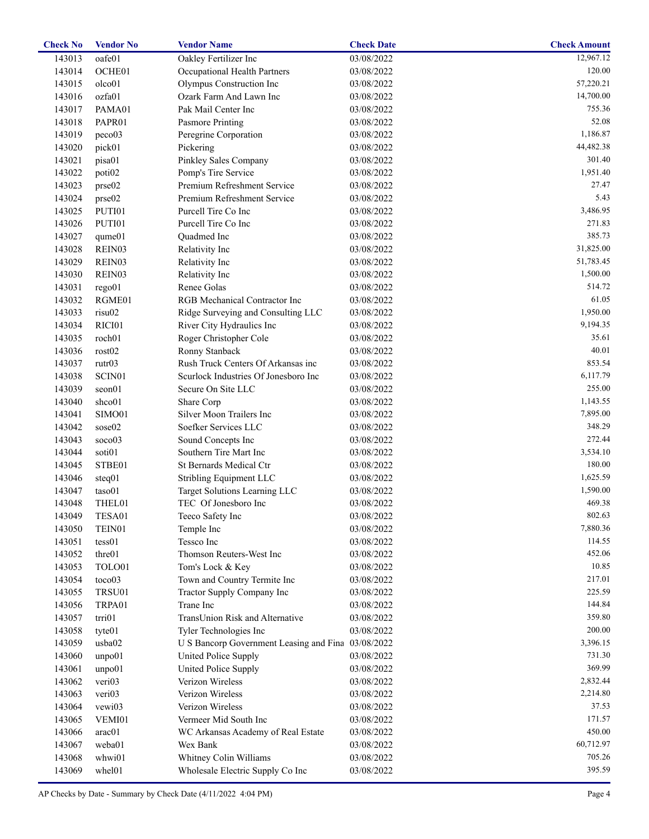| <b>Check No</b> | <b>Vendor No</b>   | <b>Vendor Name</b>                                 | <b>Check Date</b> | <b>Check Amount</b> |
|-----------------|--------------------|----------------------------------------------------|-------------------|---------------------|
| 143013          | oafe01             | Oakley Fertilizer Inc                              | 03/08/2022        | 12,967.12           |
| 143014          | OCHE01             | Occupational Health Partners                       | 03/08/2022        | 120.00              |
| 143015          | olco01             | Olympus Construction Inc                           | 03/08/2022        | 57,220.21           |
| 143016          | ozfa01             | Ozark Farm And Lawn Inc                            | 03/08/2022        | 14,700.00           |
| 143017          | PAMA01             | Pak Mail Center Inc                                | 03/08/2022        | 755.36              |
| 143018          | PAPR01             | Pasmore Printing                                   | 03/08/2022        | 52.08               |
| 143019          | peco03             | Peregrine Corporation                              | 03/08/2022        | 1,186.87            |
| 143020          | pick01             | Pickering                                          | 03/08/2022        | 44,482.38           |
| 143021          | pisa01             | Pinkley Sales Company                              | 03/08/2022        | 301.40              |
| 143022          | poti <sub>02</sub> | Pomp's Tire Service                                | 03/08/2022        | 1,951.40            |
| 143023          | prse02             | Premium Refreshment Service                        | 03/08/2022        | 27.47               |
| 143024          | prse02             | Premium Refreshment Service                        | 03/08/2022        | 5.43                |
| 143025          | PUTI01             | Purcell Tire Co Inc                                | 03/08/2022        | 3,486.95            |
| 143026          | PUTI01             | Purcell Tire Co Inc                                | 03/08/2022        | 271.83              |
| 143027          | $q$ ume $01$       | Quadmed Inc                                        | 03/08/2022        | 385.73              |
| 143028          | REIN03             | Relativity Inc                                     | 03/08/2022        | 31,825.00           |
|                 |                    |                                                    |                   | 51,783.45           |
| 143029          | REIN03             | Relativity Inc                                     | 03/08/2022        | 1,500.00            |
| 143030          | REIN03             | Relativity Inc                                     | 03/08/2022        |                     |
| 143031          | rego01             | Renee Golas                                        | 03/08/2022        | 514.72              |
| 143032          | RGME01             | RGB Mechanical Contractor Inc                      | 03/08/2022        | 61.05               |
| 143033          | risu02             | Ridge Surveying and Consulting LLC                 | 03/08/2022        | 1,950.00            |
| 143034          | RICI01             | River City Hydraulics Inc                          | 03/08/2022        | 9,194.35            |
| 143035          | roch01             | Roger Christopher Cole                             | 03/08/2022        | 35.61               |
| 143036          | rost02             | Ronny Stanback                                     | 03/08/2022        | 40.01               |
| 143037          | rutr03             | Rush Truck Centers Of Arkansas inc                 | 03/08/2022        | 853.54              |
| 143038          | SCIN <sub>01</sub> | Scurlock Industries Of Jonesboro Inc               | 03/08/2022        | 6,117.79            |
| 143039          | seon01             | Secure On Site LLC                                 | 03/08/2022        | 255.00              |
| 143040          | shco01             | Share Corp                                         | 03/08/2022        | 1,143.55            |
| 143041          | SIMO01             | Silver Moon Trailers Inc                           | 03/08/2022        | 7,895.00            |
| 143042          | sose02             | Soefker Services LLC                               | 03/08/2022        | 348.29              |
| 143043          | soco03             | Sound Concepts Inc                                 | 03/08/2022        | 272.44              |
| 143044          | soti01             | Southern Tire Mart Inc                             | 03/08/2022        | 3,534.10            |
| 143045          | STBE01             | St Bernards Medical Ctr                            | 03/08/2022        | 180.00              |
| 143046          | steq01             | Stribling Equipment LLC                            | 03/08/2022        | 1,625.59            |
| 143047          | taso01             | Target Solutions Learning LLC                      | 03/08/2022        | 1,590.00            |
| 143048          | THEL01             | TEC Of Jonesboro Inc                               | 03/08/2022        | 469.38              |
| 143049          | TESA01             | Teeco Safety Inc                                   | 03/08/2022        | 802.63              |
| 143050          | TEIN01             | Temple Inc                                         | 03/08/2022        | 7,880.36            |
| 143051          | tess01             | Tessco Inc                                         | 03/08/2022        | 114.55              |
| 143052          | thre01             | Thomson Reuters-West Inc                           | 03/08/2022        | 452.06              |
| 143053          | TOLO01             | Tom's Lock & Key                                   | 03/08/2022        | 10.85               |
| 143054          | toco03             | Town and Country Termite Inc                       | 03/08/2022        | 217.01              |
| 143055          | TRSU01             | Tractor Supply Company Inc                         | 03/08/2022        | 225.59              |
| 143056          | TRPA01             | Trane Inc                                          | 03/08/2022        | 144.84              |
| 143057          | trri01             | TransUnion Risk and Alternative                    | 03/08/2022        | 359.80              |
| 143058          | tyte01             | Tyler Technologies Inc                             | 03/08/2022        | 200.00              |
|                 | usba02             |                                                    |                   | 3,396.15            |
| 143059          |                    | U S Bancorp Government Leasing and Fina 03/08/2022 |                   |                     |
| 143060          | unpo01             | United Police Supply                               | 03/08/2022        | 731.30              |
| 143061          | unpo01             | United Police Supply                               | 03/08/2022        | 369.99              |
| 143062          | veri03             | Verizon Wireless                                   | 03/08/2022        | 2,832.44            |
| 143063          | veri03             | Verizon Wireless                                   | 03/08/2022        | 2,214.80            |
| 143064          | vewi03             | Verizon Wireless                                   | 03/08/2022        | 37.53               |
| 143065          | VEMI01             | Vermeer Mid South Inc                              | 03/08/2022        | 171.57              |
| 143066          | arac01             | WC Arkansas Academy of Real Estate                 | 03/08/2022        | 450.00              |
| 143067          | weba01             | Wex Bank                                           | 03/08/2022        | 60,712.97           |
| 143068          | whwi01             | Whitney Colin Williams                             | 03/08/2022        | 705.26              |
| 143069          | whel01             | Wholesale Electric Supply Co Inc                   | 03/08/2022        | 395.59              |
|                 |                    |                                                    |                   |                     |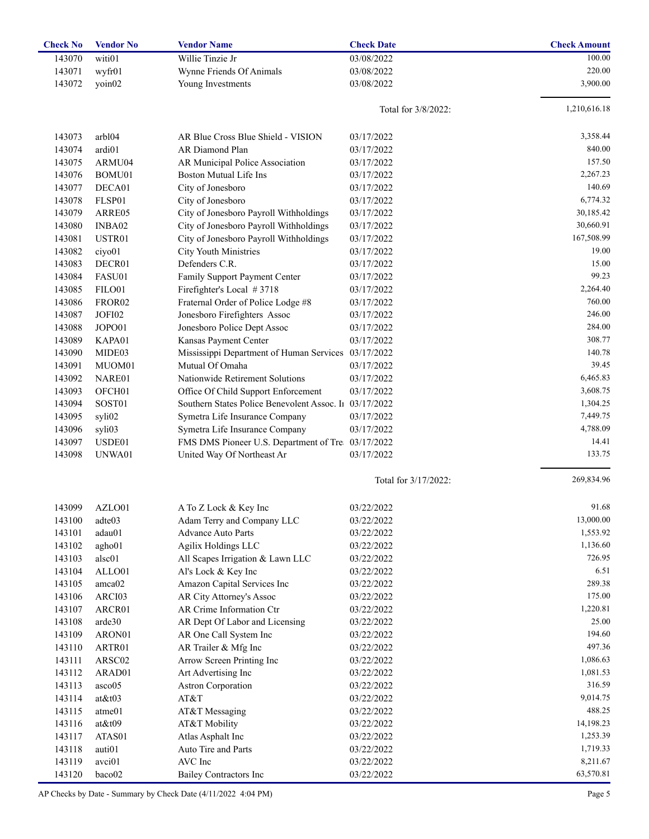| <b>Check No</b> | <b>Vendor No</b>   | <b>Vendor Name</b>                                | <b>Check Date</b>    | <b>Check Amount</b> |
|-----------------|--------------------|---------------------------------------------------|----------------------|---------------------|
| 143070          | witi01             | Willie Tinzie Jr                                  | 03/08/2022           | 100.00              |
| 143071          | wyfr01             | Wynne Friends Of Animals                          | 03/08/2022           | 220.00              |
| 143072          | yoin02             | Young Investments                                 | 03/08/2022           | 3,900.00            |
|                 |                    |                                                   |                      |                     |
|                 |                    |                                                   | Total for 3/8/2022:  | 1,210,616.18        |
|                 |                    |                                                   |                      |                     |
| 143073          | arbl04             | AR Blue Cross Blue Shield - VISION                | 03/17/2022           | 3,358.44            |
| 143074          | ardi01             | AR Diamond Plan                                   | 03/17/2022           | 840.00              |
| 143075          | ARMU04             | AR Municipal Police Association                   | 03/17/2022           | 157.50              |
| 143076          | BOMU01             | <b>Boston Mutual Life Ins</b>                     | 03/17/2022           | 2,267.23            |
| 143077          | DECA01             | City of Jonesboro                                 | 03/17/2022           | 140.69              |
| 143078          | FLSP01             | City of Jonesboro                                 | 03/17/2022           | 6,774.32            |
| 143079          | ARRE05             | City of Jonesboro Payroll Withholdings            | 03/17/2022           | 30,185.42           |
| 143080          | INBA02             | City of Jonesboro Payroll Withholdings            | 03/17/2022           | 30,660.91           |
| 143081          | USTR01             | City of Jonesboro Payroll Withholdings            | 03/17/2022           | 167,508.99          |
| 143082          | ciyo01             | <b>City Youth Ministries</b>                      | 03/17/2022           | 19.00               |
| 143083          | DECR01             | Defenders C.R.                                    | 03/17/2022           | 15.00               |
| 143084          | FASU01             | Family Support Payment Center                     | 03/17/2022           | 99.23               |
| 143085          | FILO01             | Firefighter's Local #3718                         | 03/17/2022           | 2,264.40            |
|                 |                    |                                                   |                      | 760.00              |
| 143086          | FROR <sub>02</sub> | Fraternal Order of Police Lodge #8                | 03/17/2022           | 246.00              |
| 143087          | JOFI02             | Jonesboro Firefighters Assoc                      | 03/17/2022           | 284.00              |
| 143088          | JOPO01             | Jonesboro Police Dept Assoc                       | 03/17/2022           |                     |
| 143089          | KAPA01             | Kansas Payment Center                             | 03/17/2022           | 308.77              |
| 143090          | MIDE03             | Mississippi Department of Human Services          | 03/17/2022           | 140.78              |
| 143091          | MUOM01             | Mutual Of Omaha                                   | 03/17/2022           | 39.45               |
| 143092          | NARE01             | Nationwide Retirement Solutions                   | 03/17/2022           | 6,465.83            |
| 143093          | OFCH <sub>01</sub> | Office Of Child Support Enforcement               | 03/17/2022           | 3,608.75            |
| 143094          | SOST01             | Southern States Police Benevolent Assoc. In       | 03/17/2022           | 1,304.25            |
| 143095          | syli02             | Symetra Life Insurance Company                    | 03/17/2022           | 7,449.75            |
| 143096          | syli03             | Symetra Life Insurance Company                    | 03/17/2022           | 4,788.09            |
| 143097          | USDE01             | FMS DMS Pioneer U.S. Department of Tre 03/17/2022 |                      | 14.41               |
| 143098          | UNWA01             | United Way Of Northeast Ar                        | 03/17/2022           | 133.75              |
|                 |                    |                                                   | Total for 3/17/2022: | 269,834.96          |
|                 |                    |                                                   |                      |                     |
| 143099          | AZLO01             | A To Z Lock & Key Inc                             | 03/22/2022           | 91.68               |
| 143100          | adte03             | Adam Terry and Company LLC                        | 03/22/2022           | 13,000.00           |
| 143101          | adau01             | Advance Auto Parts                                | 03/22/2022           | 1,553.92            |
| 143102          | agho01             | Agilix Holdings LLC                               | 03/22/2022           | 1,136.60            |
| 143103          | alsc01             | All Scapes Irrigation & Lawn LLC                  | 03/22/2022           | 726.95              |
| 143104          | ALLO01             | Al's Lock & Key Inc                               | 03/22/2022           | 6.51                |
| 143105          | amca02             | Amazon Capital Services Inc                       | 03/22/2022           | 289.38              |
| 143106          | ARCI03             | AR City Attorney's Assoc                          | 03/22/2022           | 175.00              |
| 143107          | ARCR01             | AR Crime Information Ctr                          | 03/22/2022           | 1,220.81            |
| 143108          | arde30             | AR Dept Of Labor and Licensing                    | 03/22/2022           | 25.00               |
| 143109          | ARON01             | AR One Call System Inc                            | 03/22/2022           | 194.60              |
| 143110          | ARTR01             | AR Trailer & Mfg Inc                              | 03/22/2022           | 497.36              |
| 143111          | ARSC02             | Arrow Screen Printing Inc                         | 03/22/2022           | 1,086.63            |
| 143112          | ARAD01             | Art Advertising Inc                               | 03/22/2022           | 1,081.53            |
| 143113          | asco05             | Astron Corporation                                | 03/22/2022           | 316.59              |
| 143114          | $at \& t03$        | AT&T                                              | 03/22/2022           | 9,014.75            |
| 143115          | atme01             | AT&T Messaging                                    | 03/22/2022           | 488.25              |
| 143116          | $at \& t09$        | AT&T Mobility                                     | 03/22/2022           | 14,198.23           |
| 143117          | ATAS01             | Atlas Asphalt Inc                                 | 03/22/2022           | 1,253.39            |
| 143118          | auti01             | Auto Tire and Parts                               | 03/22/2022           | 1,719.33            |
| 143119          | avci <sub>01</sub> | AVC Inc                                           | 03/22/2022           | 8,211.67            |
| 143120          | baco02             | <b>Bailey Contractors Inc</b>                     | 03/22/2022           | 63,570.81           |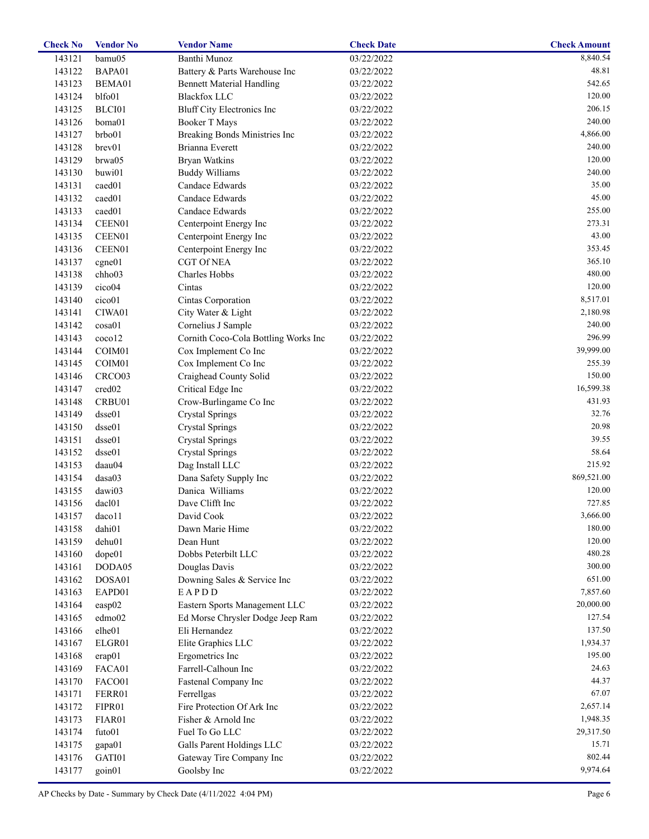| <b>Check No</b> | <b>Vendor No</b>   | <b>Vendor Name</b>                   | <b>Check Date</b> | <b>Check Amount</b> |
|-----------------|--------------------|--------------------------------------|-------------------|---------------------|
| 143121          | bamu05             | Banthi Munoz                         | 03/22/2022        | 8,840.54            |
| 143122          | BAPA01             | Battery & Parts Warehouse Inc        | 03/22/2022        | 48.81               |
| 143123          | BEMA01             | <b>Bennett Material Handling</b>     | 03/22/2022        | 542.65              |
| 143124          | blfo01             | <b>Blackfox LLC</b>                  | 03/22/2022        | 120.00              |
| 143125          | BLCI01             | <b>Bluff City Electronics Inc</b>    | 03/22/2022        | 206.15              |
| 143126          | boma01             | <b>Booker T Mays</b>                 | 03/22/2022        | 240.00              |
| 143127          | brbo01             | Breaking Bonds Ministries Inc        | 03/22/2022        | 4,866.00            |
| 143128          | brev01             | Brianna Everett                      | 03/22/2022        | 240.00              |
| 143129          | brwa05             | <b>Bryan Watkins</b>                 | 03/22/2022        | 120.00              |
| 143130          | buwi01             | <b>Buddy Williams</b>                | 03/22/2022        | 240.00              |
| 143131          | caed01             | Candace Edwards                      | 03/22/2022        | 35.00               |
| 143132          | caed01             | Candace Edwards                      | 03/22/2022        | 45.00               |
| 143133          | caed01             | Candace Edwards                      | 03/22/2022        | 255.00              |
| 143134          | CEEN01             | Centerpoint Energy Inc               | 03/22/2022        | 273.31              |
| 143135          | CEEN01             | Centerpoint Energy Inc               | 03/22/2022        | 43.00               |
| 143136          | CEEN01             | Centerpoint Energy Inc               | 03/22/2022        | 353.45              |
| 143137          | cgne01             | <b>CGT Of NEA</b>                    | 03/22/2022        | 365.10              |
| 143138          | chho03             | Charles Hobbs                        | 03/22/2022        | 480.00              |
| 143139          | cico04             | Cintas                               | 03/22/2022        | 120.00              |
| 143140          | cico01             | Cintas Corporation                   | 03/22/2022        | 8,517.01            |
| 143141          | CIWA01             | City Water & Light                   | 03/22/2022        | 2,180.98            |
| 143142          | cosa01             | Cornelius J Sample                   | 03/22/2022        | 240.00              |
| 143143          | coco12             | Cornith Coco-Cola Bottling Works Inc | 03/22/2022        | 296.99              |
| 143144          | COIM01             | Cox Implement Co Inc                 | 03/22/2022        | 39,999.00           |
| 143145          | COIM <sub>01</sub> | Cox Implement Co Inc                 | 03/22/2022        | 255.39              |
| 143146          | CRCO <sub>03</sub> | Craighead County Solid               | 03/22/2022        | 150.00              |
| 143147          | cred02             | Critical Edge Inc                    | 03/22/2022        | 16,599.38           |
| 143148          | CRBU01             | Crow-Burlingame Co Inc               | 03/22/2022        | 431.93              |
| 143149          | dsse01             | <b>Crystal Springs</b>               | 03/22/2022        | 32.76               |
| 143150          | dsse01             | <b>Crystal Springs</b>               | 03/22/2022        | 20.98               |
| 143151          | dsse01             | <b>Crystal Springs</b>               | 03/22/2022        | 39.55               |
| 143152          | dsse01             | <b>Crystal Springs</b>               | 03/22/2022        | 58.64               |
| 143153          | daau04             | Dag Install LLC                      | 03/22/2022        | 215.92              |
| 143154          | dasa03             | Dana Safety Supply Inc               | 03/22/2022        | 869,521.00          |
| 143155          | dawi03             | Danica Williams                      | 03/22/2022        | 120.00              |
| 143156          | dac101             | Dave Clifft Inc                      | 03/22/2022        | 727.85              |
| 143157          | daco11             | David Cook                           | 03/22/2022        | 3,666.00            |
| 143158          | dahi01             | Dawn Marie Hime                      | 03/22/2022        | 180.00              |
| 143159          | dehu01             | Dean Hunt                            | 03/22/2022        | 120.00              |
| 143160          | dope01             | Dobbs Peterbilt LLC                  | 03/22/2022        | 480.28              |
| 143161          | DODA05             | Douglas Davis                        | 03/22/2022        | 300.00              |
| 143162          | DOSA01             | Downing Sales & Service Inc          | 03/22/2022        | 651.00              |
| 143163          | EAPD01             | EAPDD                                | 03/22/2022        | 7,857.60            |
| 143164          | easp02             | Eastern Sports Management LLC        | 03/22/2022        | 20,000.00           |
| 143165          |                    | Ed Morse Chrysler Dodge Jeep Ram     |                   | 127.54              |
|                 | edmo02<br>elhe01   | Eli Hernandez                        | 03/22/2022        | 137.50              |
| 143166          |                    |                                      | 03/22/2022        | 1,934.37            |
| 143167          | ELGR01             | Elite Graphics LLC                   | 03/22/2022        | 195.00              |
| 143168          | erap01             | Ergometrics Inc                      | 03/22/2022        | 24.63               |
| 143169          | FACA01             | Farrell-Calhoun Inc                  | 03/22/2022        |                     |
| 143170          | FACO01             | Fastenal Company Inc                 | 03/22/2022        | 44.37               |
| 143171          | FERR01             | Ferrellgas                           | 03/22/2022        | 67.07               |
| 143172          | FIPR01             | Fire Protection Of Ark Inc           | 03/22/2022        | 2,657.14            |
| 143173          | FIAR01             | Fisher & Arnold Inc                  | 03/22/2022        | 1,948.35            |
| 143174          | futo01             | Fuel To Go LLC                       | 03/22/2022        | 29,317.50           |
| 143175          | gapa01             | Galls Parent Holdings LLC            | 03/22/2022        | 15.71               |
| 143176          | GATI01             | Gateway Tire Company Inc             | 03/22/2022        | 802.44              |
| 143177          | goin01             | Goolsby Inc                          | 03/22/2022        | 9,974.64            |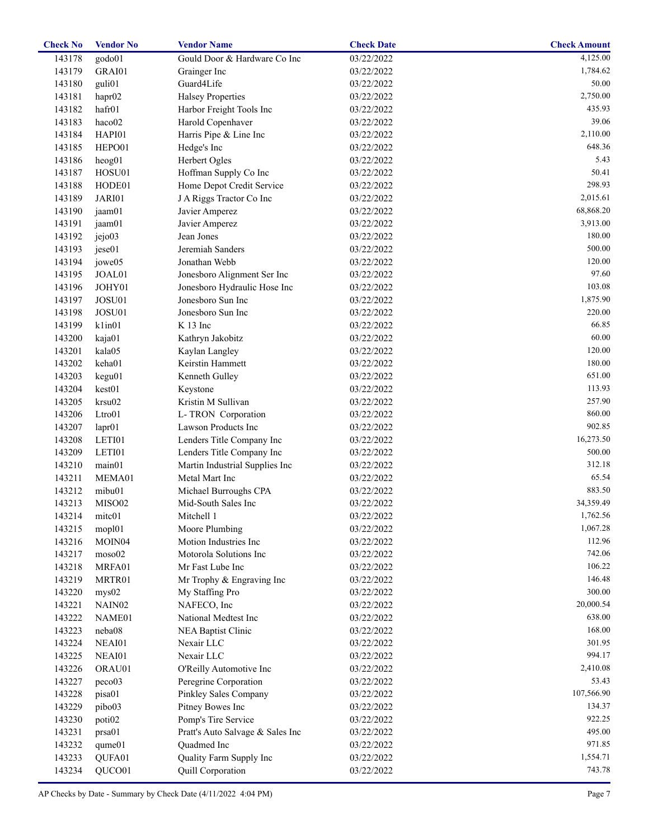| <b>Check No</b> | <b>Vendor No</b>   | <b>Vendor Name</b>               | <b>Check Date</b> | <b>Check Amount</b> |
|-----------------|--------------------|----------------------------------|-------------------|---------------------|
| 143178          | godo01             | Gould Door & Hardware Co Inc     | 03/22/2022        | 4,125.00            |
| 143179          | GRAI01             | Grainger Inc                     | 03/22/2022        | 1,784.62            |
| 143180          | guli01             | Guard4Life                       | 03/22/2022        | 50.00               |
| 143181          | hapr02             | <b>Halsey Properties</b>         | 03/22/2022        | 2,750.00            |
| 143182          | hafr01             | Harbor Freight Tools Inc         | 03/22/2022        | 435.93              |
| 143183          | haco02             | Harold Copenhaver                | 03/22/2022        | 39.06               |
| 143184          | HAPI01             | Harris Pipe & Line Inc           | 03/22/2022        | 2,110.00            |
| 143185          | HEPO01             | Hedge's Inc                      | 03/22/2022        | 648.36              |
| 143186          | heog01             | Herbert Ogles                    | 03/22/2022        | 5.43                |
| 143187          | HOSU01             | Hoffman Supply Co Inc            | 03/22/2022        | 50.41               |
| 143188          | HODE01             | Home Depot Credit Service        | 03/22/2022        | 298.93              |
| 143189          | JARI01             | J A Riggs Tractor Co Inc         | 03/22/2022        | 2,015.61            |
| 143190          | jaam01             | Javier Amperez                   | 03/22/2022        | 68,868.20           |
| 143191          | jaam01             | Javier Amperez                   | 03/22/2022        | 3,913.00            |
|                 | jejo03             | Jean Jones                       |                   | 180.00              |
| 143192          |                    | Jeremiah Sanders                 | 03/22/2022        | 500.00              |
| 143193          | jese01             |                                  | 03/22/2022        |                     |
| 143194          | jowe05             | Jonathan Webb                    | 03/22/2022        | 120.00              |
| 143195          | JOAL01             | Jonesboro Alignment Ser Inc      | 03/22/2022        | 97.60               |
| 143196          | JOHY01             | Jonesboro Hydraulic Hose Inc     | 03/22/2022        | 103.08              |
| 143197          | JOSU01             | Jonesboro Sun Inc                | 03/22/2022        | 1,875.90            |
| 143198          | JOSU01             | Jonesboro Sun Inc                | 03/22/2022        | 220.00              |
| 143199          | k1in01             | K 13 Inc                         | 03/22/2022        | 66.85               |
| 143200          | kaja01             | Kathryn Jakobitz                 | 03/22/2022        | 60.00               |
| 143201          | kala05             | Kaylan Langley                   | 03/22/2022        | 120.00              |
| 143202          | keha01             | Keirstin Hammett                 | 03/22/2022        | 180.00              |
| 143203          | kegu01             | Kenneth Gulley                   | 03/22/2022        | 651.00              |
| 143204          | kest01             | Keystone                         | 03/22/2022        | 113.93              |
| 143205          | krsu02             | Kristin M Sullivan               | 03/22/2022        | 257.90              |
| 143206          | Ltro01             | L- TRON Corporation              | 03/22/2022        | 860.00              |
| 143207          | lapr01             | Lawson Products Inc              | 03/22/2022        | 902.85              |
| 143208          | LETI01             | Lenders Title Company Inc        | 03/22/2022        | 16,273.50           |
| 143209          | LETI01             | Lenders Title Company Inc        | 03/22/2022        | 500.00              |
| 143210          | main01             | Martin Industrial Supplies Inc   | 03/22/2022        | 312.18              |
| 143211          | MEMA01             | Metal Mart Inc                   | 03/22/2022        | 65.54               |
| 143212          | mibu01             | Michael Burroughs CPA            | 03/22/2022        | 883.50              |
| 143213          | MISO02             | Mid-South Sales Inc              | 03/22/2022        | 34,359.49           |
| 143214          | mitc01             | Mitchell 1                       | 03/22/2022        | 1,762.56            |
| 143215          | mopl01             | Moore Plumbing                   | 03/22/2022        | 1,067.28            |
| 143216          |                    | Motion Industries Inc            |                   | 112.96              |
|                 | MOIN <sub>04</sub> |                                  | 03/22/2022        | 742.06              |
| 143217          | moso02             | Motorola Solutions Inc           | 03/22/2022        |                     |
| 143218          | MRFA01             | Mr Fast Lube Inc                 | 03/22/2022        | 106.22              |
| 143219          | MRTR01             | Mr Trophy & Engraving Inc        | 03/22/2022        | 146.48              |
| 143220          | mys02              | My Staffing Pro                  | 03/22/2022        | 300.00              |
| 143221          | NAIN <sub>02</sub> | NAFECO, Inc                      | 03/22/2022        | 20,000.54           |
| 143222          | NAME01             | National Medtest Inc             | 03/22/2022        | 638.00              |
| 143223          | neba08             | NEA Baptist Clinic               | 03/22/2022        | 168.00              |
| 143224          | NEAI01             | Nexair LLC                       | 03/22/2022        | 301.95              |
| 143225          | NEAI01             | Nexair LLC                       | 03/22/2022        | 994.17              |
| 143226          | ORAU01             | O'Reilly Automotive Inc          | 03/22/2022        | 2,410.08            |
| 143227          | peco03             | Peregrine Corporation            | 03/22/2022        | 53.43               |
| 143228          | pisa01             | Pinkley Sales Company            | 03/22/2022        | 107,566.90          |
| 143229          | pibo03             | Pitney Bowes Inc                 | 03/22/2022        | 134.37              |
| 143230          | poti <sub>02</sub> | Pomp's Tire Service              | 03/22/2022        | 922.25              |
| 143231          | prsa01             | Pratt's Auto Salvage & Sales Inc | 03/22/2022        | 495.00              |
| 143232          | qume01             | Quadmed Inc                      | 03/22/2022        | 971.85              |
| 143233          | QUFA01             | Quality Farm Supply Inc          | 03/22/2022        | 1,554.71            |
| 143234          | QUCO01             | Quill Corporation                | 03/22/2022        | 743.78              |
|                 |                    |                                  |                   |                     |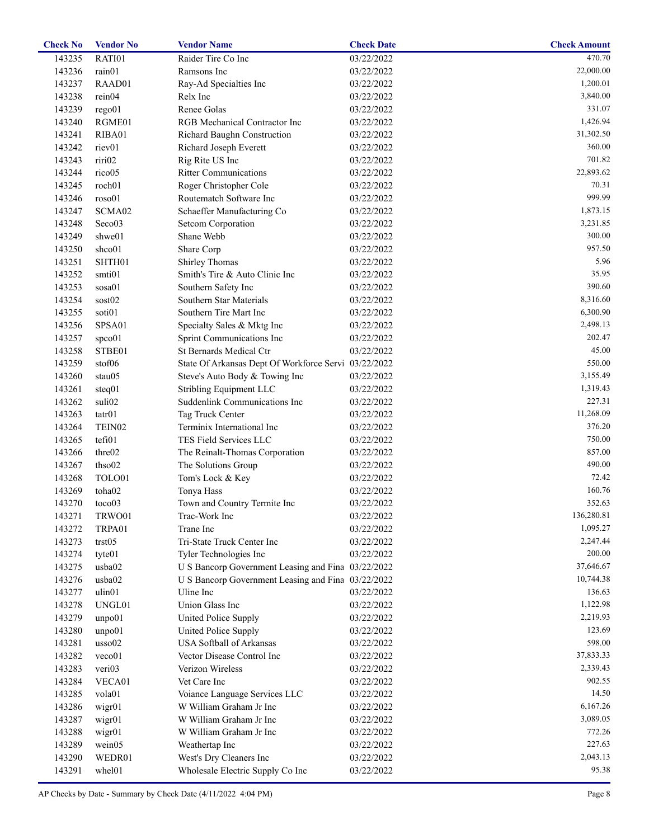| <b>Check No</b> | <b>Vendor No</b>   | <b>Vendor Name</b>                                   | <b>Check Date</b> | <b>Check Amount</b> |
|-----------------|--------------------|------------------------------------------------------|-------------------|---------------------|
| 143235          | RATI01             | Raider Tire Co Inc                                   | 03/22/2022        | 470.70              |
| 143236          | rain01             | Ramsons Inc                                          | 03/22/2022        | 22,000.00           |
| 143237          | RAAD01             | Ray-Ad Specialties Inc                               | 03/22/2022        | 1,200.01            |
| 143238          | rein04             | Relx Inc                                             | 03/22/2022        | 3,840.00            |
| 143239          | rego01             | Renee Golas                                          | 03/22/2022        | 331.07              |
| 143240          | RGME01             | RGB Mechanical Contractor Inc                        | 03/22/2022        | 1,426.94            |
| 143241          | RIBA01             | Richard Baughn Construction                          | 03/22/2022        | 31,302.50           |
| 143242          | riev01             | Richard Joseph Everett                               | 03/22/2022        | 360.00              |
| 143243          | riri02             | Rig Rite US Inc                                      | 03/22/2022        | 701.82              |
| 143244          | rico05             | <b>Ritter Communications</b>                         | 03/22/2022        | 22,893.62           |
| 143245          | roch01             | Roger Christopher Cole                               | 03/22/2022        | 70.31               |
| 143246          | roso01             | Routematch Software Inc                              | 03/22/2022        | 999.99              |
| 143247          | SCMA02             | Schaeffer Manufacturing Co                           | 03/22/2022        | 1,873.15            |
| 143248          | Seco03             | Setcom Corporation                                   | 03/22/2022        | 3,231.85            |
| 143249          | shwe01             | Shane Webb                                           | 03/22/2022        | 300.00              |
| 143250          | shco01             | Share Corp                                           | 03/22/2022        | 957.50              |
| 143251          | SHTH01             | Shirley Thomas                                       | 03/22/2022        | 5.96                |
|                 |                    | Smith's Tire & Auto Clinic Inc                       |                   | 35.95               |
| 143252          | smti01             |                                                      | 03/22/2022        | 390.60              |
| 143253          | sosa01             | Southern Safety Inc                                  | 03/22/2022        |                     |
| 143254          | sost02             | Southern Star Materials                              | 03/22/2022        | 8,316.60            |
| 143255          | soti01             | Southern Tire Mart Inc                               | 03/22/2022        | 6,300.90            |
| 143256          | SPSA01             | Specialty Sales & Mktg Inc                           | 03/22/2022        | 2,498.13            |
| 143257          | spco01             | Sprint Communications Inc                            | 03/22/2022        | 202.47              |
| 143258          | STBE01             | St Bernards Medical Ctr                              | 03/22/2022        | 45.00               |
| 143259          | stof06             | State Of Arkansas Dept Of Workforce Servi 03/22/2022 |                   | 550.00              |
| 143260          | stau05             | Steve's Auto Body & Towing Inc                       | 03/22/2022        | 3,155.49            |
| 143261          | steq01             | Stribling Equipment LLC                              | 03/22/2022        | 1,319.43            |
| 143262          | suli02             | Suddenlink Communications Inc                        | 03/22/2022        | 227.31              |
| 143263          | $\text{tatr}01$    | Tag Truck Center                                     | 03/22/2022        | 11,268.09           |
| 143264          | TEIN <sub>02</sub> | Terminix International Inc                           | 03/22/2022        | 376.20              |
| 143265          | tefi01             | TES Field Services LLC                               | 03/22/2022        | 750.00              |
| 143266          | thre02             | The Reinalt-Thomas Corporation                       | 03/22/2022        | 857.00              |
| 143267          | thso02             | The Solutions Group                                  | 03/22/2022        | 490.00              |
| 143268          | TOLO01             | Tom's Lock & Key                                     | 03/22/2022        | 72.42               |
| 143269          | toha02             | Tonya Hass                                           | 03/22/2022        | 160.76              |
| 143270          | toco03             | Town and Country Termite Inc                         | 03/22/2022        | 352.63              |
| 143271          | TRWO01             | Trac-Work Inc                                        | 03/22/2022        | 136,280.81          |
| 143272          | TRPA01             | Trane Inc                                            | 03/22/2022        | 1,095.27            |
| 143273          | trst05             | Tri-State Truck Center Inc                           | 03/22/2022        | 2,247.44            |
| 143274          | tyte01             | Tyler Technologies Inc                               | 03/22/2022        | 200.00              |
| 143275          | usba02             | U S Bancorp Government Leasing and Fina 03/22/2022   |                   | 37,646.67           |
| 143276          | usba02             | U S Bancorp Government Leasing and Fina 03/22/2022   |                   | 10,744.38           |
| 143277          | ulin01             | Uline Inc                                            | 03/22/2022        | 136.63              |
| 143278          | UNGL01             | Union Glass Inc                                      | 03/22/2022        | 1,122.98            |
| 143279          | unpo01             | United Police Supply                                 | 03/22/2022        | 2,219.93            |
| 143280          | unpo01             | United Police Supply                                 | 03/22/2022        | 123.69              |
| 143281          | usso <sub>02</sub> | USA Softball of Arkansas                             | 03/22/2022        | 598.00              |
| 143282          | veco01             | Vector Disease Control Inc                           | 03/22/2022        | 37,833.33           |
| 143283          | veri03             | Verizon Wireless                                     | 03/22/2022        | 2,339.43            |
|                 |                    | Vet Care Inc                                         |                   | 902.55              |
| 143284          | VECA01             |                                                      | 03/22/2022        |                     |
| 143285          | vola01             | Voiance Language Services LLC                        | 03/22/2022        | 14.50               |
| 143286          | wigr01             | W William Graham Jr Inc                              | 03/22/2022        | 6,167.26            |
| 143287          | wigr01             | W William Graham Jr Inc                              | 03/22/2022        | 3,089.05            |
| 143288          | wigr01             | W William Graham Jr Inc                              | 03/22/2022        | 772.26              |
| 143289          | wein05             | Weathertap Inc                                       | 03/22/2022        | 227.63              |
| 143290          | WEDR01             | West's Dry Cleaners Inc                              | 03/22/2022        | 2,043.13            |
| 143291          | whel01             | Wholesale Electric Supply Co Inc                     | 03/22/2022        | 95.38               |